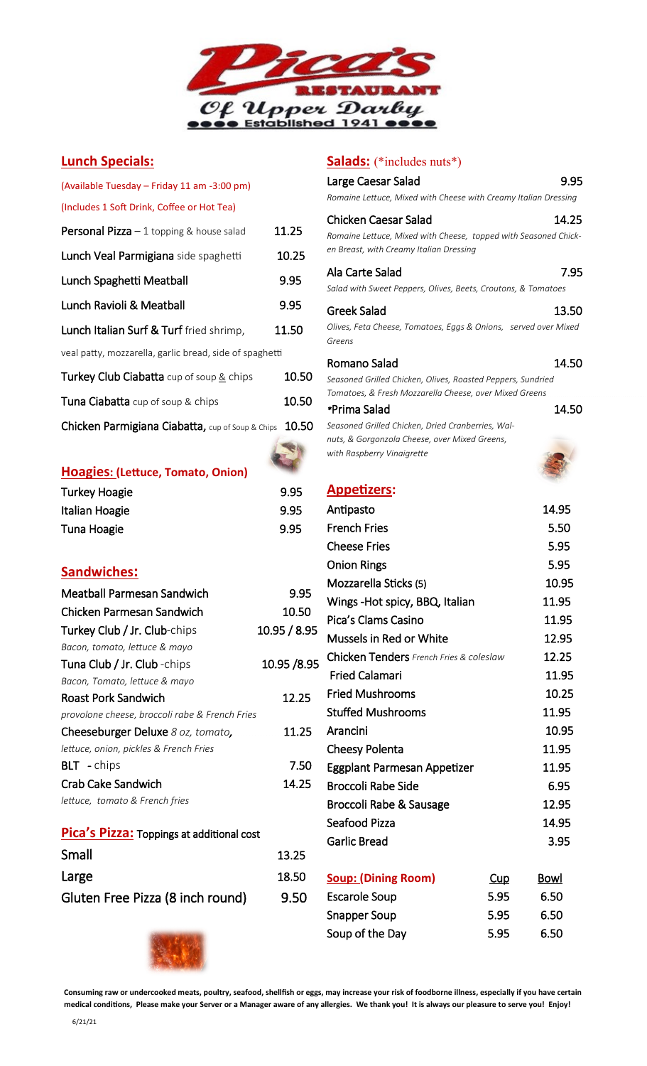

# **Lunch Specials:**

| (Available Tuesday – Friday 11 am -3:00 pm)             |       |
|---------------------------------------------------------|-------|
| (Includes 1 Soft Drink, Coffee or Hot Tea)              |       |
| <b>Personal Pizza</b> $-1$ topping & house salad        | 11.25 |
| Lunch Veal Parmigiana side spaghetti                    | 10.25 |
| Lunch Spaghetti Meatball                                | 9.95  |
| Lunch Ravioli & Meatball                                | 9.95  |
| Lunch Italian Surf & Turf fried shrimp,                 | 11.50 |
| veal patty, mozzarella, garlic bread, side of spaghetti |       |
| Turkey Club Ciabatta cup of soup & chips                | 10.50 |
| <b>Tuna Ciabatta</b> cup of soup & chips                | 10.50 |
| Chicken Parmigiana Ciabatta, cup of Soup & Chips        | 10.50 |

| Hoagies: (Lettuce, Tomato, Onion) |      |
|-----------------------------------|------|
| <b>Turkey Hoagie</b>              | 9.95 |

| <b>I UI NUY I IUUKIU</b> | <u></u> |
|--------------------------|---------|
| Italian Hoagie           | 9.95    |
| Tuna Hoagie              | 9.95    |

# **Sandwiches:**

| Meatball Parmesan Sandwich                     | 9.95         |
|------------------------------------------------|--------------|
| Chicken Parmesan Sandwich                      | 10.50        |
| Turkey Club / Jr. Club-chips                   | 10.95 / 8.95 |
| Bacon, tomato, lettuce & mayo                  |              |
| Tuna Club / Jr. Club - chips                   | 10.95 /8.95  |
| Bacon, Tomato, lettuce & mayo                  |              |
| Roast Pork Sandwich                            | 12.25        |
| provolone cheese, broccoli rabe & French Fries |              |
| Cheeseburger Deluxe 8 oz, tomato,              | 11.25        |
| lettuce, onion, pickles & French Fries         |              |
| <b>BLT</b> - chips                             | 7.50         |
| Crab Cake Sandwich                             | 14.25        |
| lettuce, tomato & French fries                 |              |
|                                                |              |

| Pica's Pizza: Toppings at additional cost |       |  |
|-------------------------------------------|-------|--|
| Small                                     | 13.25 |  |
| Large                                     | 18.50 |  |
| Gluten Free Pizza (8 inch round)          | 9.50  |  |

# **Salads:** (\*includes nuts\*)

| Chicken Caesar Salad<br>14.25<br>Romaine Lettuce, Mixed with Cheese, topped with Seasoned Chick-<br>en Breast, with Creamy Italian Dressing<br>7.95<br>Ala Carte Salad<br>Salad with Sweet Peppers, Olives, Beets, Croutons, & Tomatoes<br>Greek Salad<br>13.50<br>Olives, Feta Cheese, Tomatoes, Eggs & Onions, served over Mixed<br>Greens<br>14.50<br>Romano Salad<br>Seasoned Grilled Chicken, Olives, Roasted Peppers, Sundried<br>Tomatoes, & Fresh Mozzarella Cheese, over Mixed Greens<br>14.50<br>*Prima Salad<br>Seasoned Grilled Chicken, Dried Cranberries, Wal-<br>nuts, & Gorgonzola Cheese, over Mixed Greens,<br>with Raspberry Vinaigrette<br><u> Appetizers:</u><br>14.95<br>Antipasto<br><b>French Fries</b><br>5.50<br>5.95<br><b>Cheese Fries</b><br>5.95<br><b>Onion Rings</b><br>10.95<br>Mozzarella Sticks (5)<br>Wings-Hot spicy, BBQ, Italian<br>11.95<br>Pica's Clams Casino<br>11.95<br>Mussels in Red or White<br>12.95<br><b>Chicken Tenders</b> French Fries & coleslaw<br>12.25<br><b>Fried Calamari</b><br>11.95<br><b>Fried Mushrooms</b><br>10.25<br><b>Stuffed Mushrooms</b><br>11.95<br>Arancini<br>10.95<br><b>Cheesy Polenta</b><br>11.95<br>11.95<br>Eggplant Parmesan Appetizer<br><b>Broccoli Rabe Side</b><br>6.95<br>12.95<br>Broccoli Rabe & Sausage<br>Seafood Pizza<br>14.95<br>Garlic Bread<br>3.95<br><b>Soup: (Dining Room)</b><br><u>Bowl</u><br><u>Cup</u><br>6.50<br>5.95<br><b>Escarole Soup</b> | Large Caesar Salad<br>Romaine Lettuce, Mixed with Cheese with Creamy Italian Dressing | 9.95 |
|--------------------------------------------------------------------------------------------------------------------------------------------------------------------------------------------------------------------------------------------------------------------------------------------------------------------------------------------------------------------------------------------------------------------------------------------------------------------------------------------------------------------------------------------------------------------------------------------------------------------------------------------------------------------------------------------------------------------------------------------------------------------------------------------------------------------------------------------------------------------------------------------------------------------------------------------------------------------------------------------------------------------------------------------------------------------------------------------------------------------------------------------------------------------------------------------------------------------------------------------------------------------------------------------------------------------------------------------------------------------------------------------------------------------------------------------------------|---------------------------------------------------------------------------------------|------|
|                                                                                                                                                                                                                                                                                                                                                                                                                                                                                                                                                                                                                                                                                                                                                                                                                                                                                                                                                                                                                                                                                                                                                                                                                                                                                                                                                                                                                                                        |                                                                                       |      |
|                                                                                                                                                                                                                                                                                                                                                                                                                                                                                                                                                                                                                                                                                                                                                                                                                                                                                                                                                                                                                                                                                                                                                                                                                                                                                                                                                                                                                                                        |                                                                                       |      |
|                                                                                                                                                                                                                                                                                                                                                                                                                                                                                                                                                                                                                                                                                                                                                                                                                                                                                                                                                                                                                                                                                                                                                                                                                                                                                                                                                                                                                                                        |                                                                                       |      |
|                                                                                                                                                                                                                                                                                                                                                                                                                                                                                                                                                                                                                                                                                                                                                                                                                                                                                                                                                                                                                                                                                                                                                                                                                                                                                                                                                                                                                                                        |                                                                                       |      |
|                                                                                                                                                                                                                                                                                                                                                                                                                                                                                                                                                                                                                                                                                                                                                                                                                                                                                                                                                                                                                                                                                                                                                                                                                                                                                                                                                                                                                                                        |                                                                                       |      |
|                                                                                                                                                                                                                                                                                                                                                                                                                                                                                                                                                                                                                                                                                                                                                                                                                                                                                                                                                                                                                                                                                                                                                                                                                                                                                                                                                                                                                                                        |                                                                                       |      |
|                                                                                                                                                                                                                                                                                                                                                                                                                                                                                                                                                                                                                                                                                                                                                                                                                                                                                                                                                                                                                                                                                                                                                                                                                                                                                                                                                                                                                                                        |                                                                                       |      |
|                                                                                                                                                                                                                                                                                                                                                                                                                                                                                                                                                                                                                                                                                                                                                                                                                                                                                                                                                                                                                                                                                                                                                                                                                                                                                                                                                                                                                                                        |                                                                                       |      |
|                                                                                                                                                                                                                                                                                                                                                                                                                                                                                                                                                                                                                                                                                                                                                                                                                                                                                                                                                                                                                                                                                                                                                                                                                                                                                                                                                                                                                                                        |                                                                                       |      |
|                                                                                                                                                                                                                                                                                                                                                                                                                                                                                                                                                                                                                                                                                                                                                                                                                                                                                                                                                                                                                                                                                                                                                                                                                                                                                                                                                                                                                                                        |                                                                                       |      |
|                                                                                                                                                                                                                                                                                                                                                                                                                                                                                                                                                                                                                                                                                                                                                                                                                                                                                                                                                                                                                                                                                                                                                                                                                                                                                                                                                                                                                                                        |                                                                                       |      |
|                                                                                                                                                                                                                                                                                                                                                                                                                                                                                                                                                                                                                                                                                                                                                                                                                                                                                                                                                                                                                                                                                                                                                                                                                                                                                                                                                                                                                                                        |                                                                                       |      |
|                                                                                                                                                                                                                                                                                                                                                                                                                                                                                                                                                                                                                                                                                                                                                                                                                                                                                                                                                                                                                                                                                                                                                                                                                                                                                                                                                                                                                                                        |                                                                                       |      |
|                                                                                                                                                                                                                                                                                                                                                                                                                                                                                                                                                                                                                                                                                                                                                                                                                                                                                                                                                                                                                                                                                                                                                                                                                                                                                                                                                                                                                                                        |                                                                                       |      |
|                                                                                                                                                                                                                                                                                                                                                                                                                                                                                                                                                                                                                                                                                                                                                                                                                                                                                                                                                                                                                                                                                                                                                                                                                                                                                                                                                                                                                                                        |                                                                                       |      |
|                                                                                                                                                                                                                                                                                                                                                                                                                                                                                                                                                                                                                                                                                                                                                                                                                                                                                                                                                                                                                                                                                                                                                                                                                                                                                                                                                                                                                                                        |                                                                                       |      |
|                                                                                                                                                                                                                                                                                                                                                                                                                                                                                                                                                                                                                                                                                                                                                                                                                                                                                                                                                                                                                                                                                                                                                                                                                                                                                                                                                                                                                                                        |                                                                                       |      |
|                                                                                                                                                                                                                                                                                                                                                                                                                                                                                                                                                                                                                                                                                                                                                                                                                                                                                                                                                                                                                                                                                                                                                                                                                                                                                                                                                                                                                                                        |                                                                                       |      |
|                                                                                                                                                                                                                                                                                                                                                                                                                                                                                                                                                                                                                                                                                                                                                                                                                                                                                                                                                                                                                                                                                                                                                                                                                                                                                                                                                                                                                                                        |                                                                                       |      |
|                                                                                                                                                                                                                                                                                                                                                                                                                                                                                                                                                                                                                                                                                                                                                                                                                                                                                                                                                                                                                                                                                                                                                                                                                                                                                                                                                                                                                                                        |                                                                                       |      |
|                                                                                                                                                                                                                                                                                                                                                                                                                                                                                                                                                                                                                                                                                                                                                                                                                                                                                                                                                                                                                                                                                                                                                                                                                                                                                                                                                                                                                                                        |                                                                                       |      |
|                                                                                                                                                                                                                                                                                                                                                                                                                                                                                                                                                                                                                                                                                                                                                                                                                                                                                                                                                                                                                                                                                                                                                                                                                                                                                                                                                                                                                                                        |                                                                                       |      |
|                                                                                                                                                                                                                                                                                                                                                                                                                                                                                                                                                                                                                                                                                                                                                                                                                                                                                                                                                                                                                                                                                                                                                                                                                                                                                                                                                                                                                                                        |                                                                                       |      |
|                                                                                                                                                                                                                                                                                                                                                                                                                                                                                                                                                                                                                                                                                                                                                                                                                                                                                                                                                                                                                                                                                                                                                                                                                                                                                                                                                                                                                                                        |                                                                                       |      |
|                                                                                                                                                                                                                                                                                                                                                                                                                                                                                                                                                                                                                                                                                                                                                                                                                                                                                                                                                                                                                                                                                                                                                                                                                                                                                                                                                                                                                                                        |                                                                                       |      |
|                                                                                                                                                                                                                                                                                                                                                                                                                                                                                                                                                                                                                                                                                                                                                                                                                                                                                                                                                                                                                                                                                                                                                                                                                                                                                                                                                                                                                                                        |                                                                                       |      |
|                                                                                                                                                                                                                                                                                                                                                                                                                                                                                                                                                                                                                                                                                                                                                                                                                                                                                                                                                                                                                                                                                                                                                                                                                                                                                                                                                                                                                                                        |                                                                                       |      |
|                                                                                                                                                                                                                                                                                                                                                                                                                                                                                                                                                                                                                                                                                                                                                                                                                                                                                                                                                                                                                                                                                                                                                                                                                                                                                                                                                                                                                                                        |                                                                                       |      |
|                                                                                                                                                                                                                                                                                                                                                                                                                                                                                                                                                                                                                                                                                                                                                                                                                                                                                                                                                                                                                                                                                                                                                                                                                                                                                                                                                                                                                                                        |                                                                                       |      |
|                                                                                                                                                                                                                                                                                                                                                                                                                                                                                                                                                                                                                                                                                                                                                                                                                                                                                                                                                                                                                                                                                                                                                                                                                                                                                                                                                                                                                                                        |                                                                                       |      |
|                                                                                                                                                                                                                                                                                                                                                                                                                                                                                                                                                                                                                                                                                                                                                                                                                                                                                                                                                                                                                                                                                                                                                                                                                                                                                                                                                                                                                                                        |                                                                                       |      |

Snapper Soup 5.95 6.50 Soup of the Day 5.95 6.50



**Consuming raw or undercooked meats, poultry, seafood, shellfish or eggs, may increase your risk of foodborne illness, especially if you have certain medical conditions, Please make your Server or a Manager aware of any allergies. We thank you! It is always our pleasure to serve you! Enjoy!**